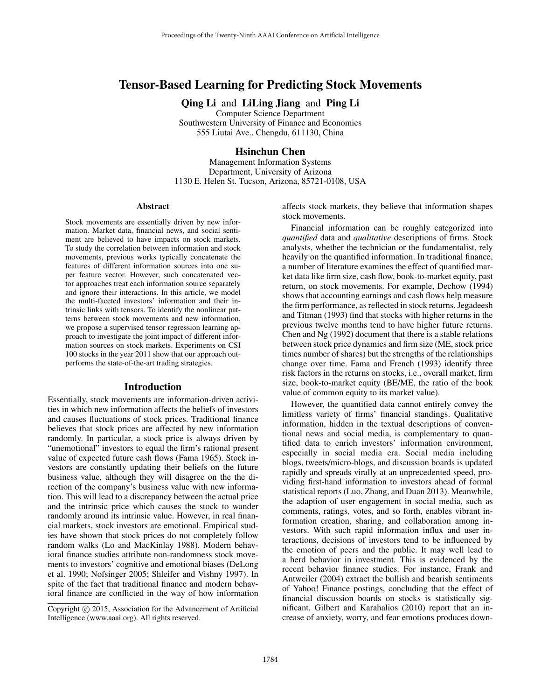# Tensor-Based Learning for Predicting Stock Movements

Qing Li and LiLing Jiang and Ping Li

Computer Science Department Southwestern University of Finance and Economics 555 Liutai Ave., Chengdu, 611130, China

### Hsinchun Chen

Management Information Systems Department, University of Arizona 1130 E. Helen St. Tucson, Arizona, 85721-0108, USA

#### Abstract

Stock movements are essentially driven by new information. Market data, financial news, and social sentiment are believed to have impacts on stock markets. To study the correlation between information and stock movements, previous works typically concatenate the features of different information sources into one super feature vector. However, such concatenated vector approaches treat each information source separately and ignore their interactions. In this article, we model the multi-faceted investors' information and their intrinsic links with tensors. To identify the nonlinear patterns between stock movements and new information, we propose a supervised tensor regression learning approach to investigate the joint impact of different information sources on stock markets. Experiments on CSI 100 stocks in the year 2011 show that our approach outperforms the state-of-the-art trading strategies.

#### Introduction

Essentially, stock movements are information-driven activities in which new information affects the beliefs of investors and causes fluctuations of stock prices. Traditional finance believes that stock prices are affected by new information randomly. In particular, a stock price is always driven by "unemotional" investors to equal the firm's rational present value of expected future cash flows (Fama 1965). Stock investors are constantly updating their beliefs on the future business value, although they will disagree on the the direction of the company's business value with new information. This will lead to a discrepancy between the actual price and the intrinsic price which causes the stock to wander randomly around its intrinsic value. However, in real financial markets, stock investors are emotional. Empirical studies have shown that stock prices do not completely follow random walks (Lo and MacKinlay 1988). Modern behavioral finance studies attribute non-randomness stock movements to investors' cognitive and emotional biases (DeLong et al. 1990; Nofsinger 2005; Shleifer and Vishny 1997). In spite of the fact that traditional finance and modern behavioral finance are conflicted in the way of how information

affects stock markets, they believe that information shapes stock movements.

Financial information can be roughly categorized into *quantified* data and *qualitative* descriptions of firms. Stock analysts, whether the technician or the fundamentalist, rely heavily on the quantified information. In traditional finance, a number of literature examines the effect of quantified market data like firm size, cash flow, book-to-market equity, past return, on stock movements. For example, Dechow (1994) shows that accounting earnings and cash flows help measure the firm performance, as reflected in stock returns. Jegadeesh and Titman (1993) find that stocks with higher returns in the previous twelve months tend to have higher future returns. Chen and Ng (1992) document that there is a stable relations between stock price dynamics and firm size (ME, stock price times number of shares) but the strengths of the relationships change over time. Fama and French (1993) identify three risk factors in the returns on stocks, i.e., overall market, firm size, book-to-market equity (BE/ME, the ratio of the book value of common equity to its market value).

However, the quantified data cannot entirely convey the limitless variety of firms' financial standings. Qualitative information, hidden in the textual descriptions of conventional news and social media, is complementary to quantified data to enrich investors' information environment, especially in social media era. Social media including blogs, tweets/micro-blogs, and discussion boards is updated rapidly and spreads virally at an unprecedented speed, providing first-hand information to investors ahead of formal statistical reports (Luo, Zhang, and Duan 2013). Meanwhile, the adaption of user engagement in social media, such as comments, ratings, votes, and so forth, enables vibrant information creation, sharing, and collaboration among investors. With such rapid information influx and user interactions, decisions of investors tend to be influenced by the emotion of peers and the public. It may well lead to a herd behavior in investment. This is evidenced by the recent behavior finance studies. For instance, Frank and Antweiler (2004) extract the bullish and bearish sentiments of Yahoo! Finance postings, concluding that the effect of financial discussion boards on stocks is statistically significant. Gilbert and Karahalios (2010) report that an increase of anxiety, worry, and fear emotions produces down-

Copyright  $\odot$  2015, Association for the Advancement of Artificial Intelligence (www.aaai.org). All rights reserved.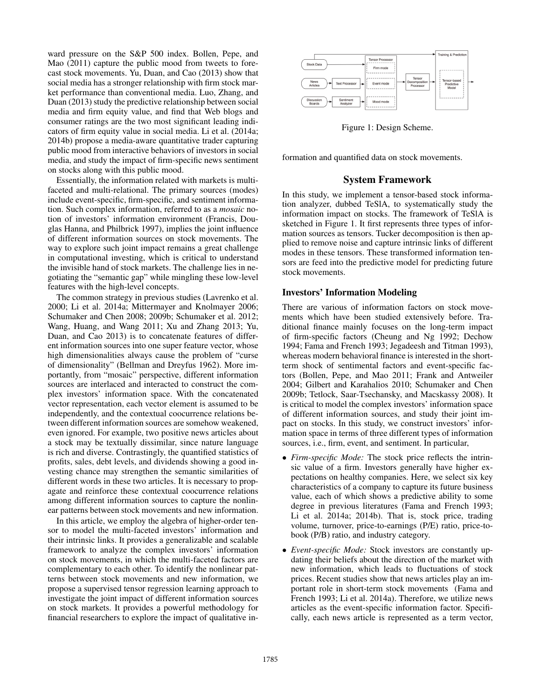ward pressure on the S&P 500 index. Bollen, Pepe, and Mao (2011) capture the public mood from tweets to forecast stock movements. Yu, Duan, and Cao (2013) show that social media has a stronger relationship with firm stock market performance than conventional media. Luo, Zhang, and Duan (2013) study the predictive relationship between social media and firm equity value, and find that Web blogs and consumer ratings are the two most significant leading indicators of firm equity value in social media. Li et al. (2014a; 2014b) propose a media-aware quantitative trader capturing public mood from interactive behaviors of investors in social media, and study the impact of firm-specific news sentiment on stocks along with this public mood.

Essentially, the information related with markets is multifaceted and multi-relational. The primary sources (modes) include event-specific, firm-specific, and sentiment information. Such complex information, referred to as a *mosaic* notion of investors' information environment (Francis, Douglas Hanna, and Philbrick 1997), implies the joint influence of different information sources on stock movements. The way to explore such joint impact remains a great challenge in computational investing, which is critical to understand the invisible hand of stock markets. The challenge lies in negotiating the "semantic gap" while mingling these low-level features with the high-level concepts.

The common strategy in previous studies (Lavrenko et al. 2000; Li et al. 2014a; Mittermayer and Knolmayer 2006; Schumaker and Chen 2008; 2009b; Schumaker et al. 2012; Wang, Huang, and Wang 2011; Xu and Zhang 2013; Yu, Duan, and Cao 2013) is to concatenate features of different information sources into one super feature vector, whose high dimensionalities always cause the problem of "curse of dimensionality" (Bellman and Dreyfus 1962). More importantly, from "mosaic" perspective, different information sources are interlaced and interacted to construct the complex investors' information space. With the concatenated vector representation, each vector element is assumed to be independently, and the contextual coocurrence relations between different information sources are somehow weakened, even ignored. For example, two positive news articles about a stock may be textually dissimilar, since nature language is rich and diverse. Contrastingly, the quantified statistics of profits, sales, debt levels, and dividends showing a good investing chance may strengthen the semantic similarities of different words in these two articles. It is necessary to propagate and reinforce these contextual coocurrence relations among different information sources to capture the nonlinear patterns between stock movements and new information.

In this article, we employ the algebra of higher-order tensor to model the multi-faceted investors' information and their intrinsic links. It provides a generalizable and scalable framework to analyze the complex investors' information on stock movements, in which the multi-faceted factors are complementary to each other. To identify the nonlinear patterns between stock movements and new information, we propose a supervised tensor regression learning approach to investigate the joint impact of different information sources on stock markets. It provides a powerful methodology for financial researchers to explore the impact of qualitative in-



Figure 1: Design Scheme.

formation and quantified data on stock movements.

## System Framework

In this study, we implement a tensor-based stock information analyzer, dubbed TeSlA, to systematically study the information impact on stocks. The framework of TeSlA is sketched in Figure 1. It first represents three types of information sources as tensors. Tucker decomposition is then applied to remove noise and capture intrinsic links of different modes in these tensors. These transformed information tensors are feed into the predictive model for predicting future stock movements.

### Investors' Information Modeling

There are various of information factors on stock movements which have been studied extensively before. Traditional finance mainly focuses on the long-term impact of firm-specific factors (Cheung and Ng 1992; Dechow 1994; Fama and French 1993; Jegadeesh and Titman 1993), whereas modern behavioral finance is interested in the shortterm shock of sentimental factors and event-specific factors (Bollen, Pepe, and Mao 2011; Frank and Antweiler 2004; Gilbert and Karahalios 2010; Schumaker and Chen 2009b; Tetlock, Saar-Tsechansky, and Macskassy 2008). It is critical to model the complex investors' information space of different information sources, and study their joint impact on stocks. In this study, we construct investors' information space in terms of three different types of information sources, i.e., firm, event, and sentiment. In particular,

- *Firm-specific Mode:* The stock price reflects the intrinsic value of a firm. Investors generally have higher expectations on healthy companies. Here, we select six key characteristics of a company to capture its future business value, each of which shows a predictive ability to some degree in previous literatures (Fama and French 1993; Li et al. 2014a; 2014b). That is, stock price, trading volume, turnover, price-to-earnings (P/E) ratio, price-tobook (P/B) ratio, and industry category.
- *Event-specific Mode:* Stock investors are constantly updating their beliefs about the direction of the market with new information, which leads to fluctuations of stock prices. Recent studies show that news articles play an important role in short-term stock movements (Fama and French 1993; Li et al. 2014a). Therefore, we utilize news articles as the event-specific information factor. Specifically, each news article is represented as a term vector,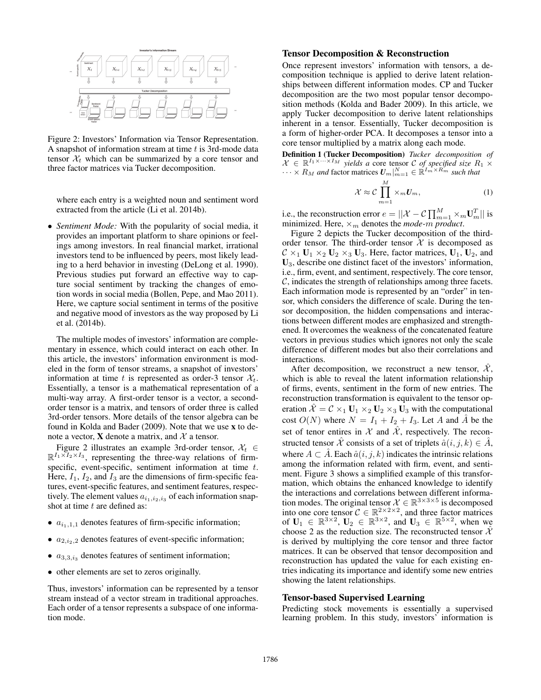

Figure 2: Investors' Information via Tensor Representation. A snapshot of information stream at time  $t$  is 3rd-mode data tensor  $\mathcal{X}_t$  which can be summarized by a core tensor and three factor matrices via Tucker decomposition.

where each entry is a weighted noun and sentiment word extracted from the article (Li et al. 2014b).

• *Sentiment Mode:* With the popularity of social media, it provides an important platform to share opinions or feelings among investors. In real financial market, irrational investors tend to be influenced by peers, most likely leading to a herd behavior in investing (DeLong et al. 1990). Previous studies put forward an effective way to capture social sentiment by tracking the changes of emotion words in social media (Bollen, Pepe, and Mao 2011). Here, we capture social sentiment in terms of the positive and negative mood of investors as the way proposed by Li et al. (2014b).

The multiple modes of investors' information are complementary in essence, which could interact on each other. In this article, the investors' information environment is modeled in the form of tensor streams, a snapshot of investors' information at time t is represented as order-3 tensor  $\mathcal{X}_t$ . Essentially, a tensor is a mathematical representation of a multi-way array. A first-order tensor is a vector, a secondorder tensor is a matrix, and tensors of order three is called 3rd-order tensors. More details of the tensor algebra can be found in Kolda and Bader (2009). Note that we use x to denote a vector, **X** denote a matrix, and  $\mathcal{X}$  a tensor.

Figure 2 illustrates an example 3rd-order tensor,  $\mathcal{X}_t \in$  $\mathbb{R}^{I_1 \times I_2 \times I_3}$ , representing the three-way relations of firmspecific, event-specific, sentiment information at time t. Here,  $I_1$ ,  $I_2$ , and  $I_3$  are the dimensions of firm-specific features, event-specific features, and sentiment features, respectively. The element values  $a_{i_1,i_2,i_3}$  of each information snapshot at time  $t$  are defined as:

- $a_{i_1,1,1}$  denotes features of firm-specific information;
- $a_{2,i_2,2}$  denotes features of event-specific information;
- $a_{3,3,i_3}$  denotes features of sentiment information;
- other elements are set to zeros originally.

Thus, investors' information can be represented by a tensor stream instead of a vector stream in traditional approaches. Each order of a tensor represents a subspace of one information mode.

#### Tensor Decomposition & Reconstruction

Once represent investors' information with tensors, a decomposition technique is applied to derive latent relationships between different information modes. CP and Tucker decomposition are the two most popular tensor decomposition methods (Kolda and Bader 2009). In this article, we apply Tucker decomposition to derive latent relationships inherent in a tensor. Essentially, Tucker decomposition is a form of higher-order PCA. It decomposes a tensor into a core tensor multiplied by a matrix along each mode.

**Definition 1 (Tucker Decomposition)** *Tucker decomposition of*  $\mathcal{X} \in \mathbb{R}^{I_1 \times \cdots \times I_M}$  yields a core tensor C of specified size  $R_1 \times R_2$  $\cdots \times R_M$  and factor matrices  $U_m|_{m=1}^N \in \mathbb{R}^{I_m \times R_m^{\times}}$  such that

$$
\mathcal{X} \approx \mathcal{C} \prod_{m=1}^{M} \times_m U_m, \tag{1}
$$

i.e., the reconstruction error  $e = ||\mathcal{X} - \mathcal{C} \prod_{m=1}^{M} \times_m \mathbf{U}_m^T||$  is minimized. Here,  $\times_m$  denotes the *mode-m product*.

Figure 2 depicts the Tucker decomposition of the thirdorder tensor. The third-order tensor  $X$  is decomposed as  $C \times_1 U_1 \times_2 U_2 \times_3 U_3$ . Here, factor matrices,  $U_1$ ,  $U_2$ , and U3, describe one distinct facet of the investors' information, i.e., firm, event, and sentiment, respectively. The core tensor,  $\mathcal{C}$ , indicates the strength of relationships among three facets. Each information mode is represented by an "order" in tensor, which considers the difference of scale. During the tensor decomposition, the hidden compensations and interactions between different modes are emphasized and strengthened. It overcomes the weakness of the concatenated feature vectors in previous studies which ignores not only the scale difference of different modes but also their correlations and interactions.

After decomposition, we reconstruct a new tensor,  $\mathcal{X}$ , which is able to reveal the latent information relationship of firms, events, sentiment in the form of new entries. The reconstruction transformation is equivalent to the tensor operation  $\hat{\mathcal{X}} = \mathcal{C} \times_1 \mathbf{U}_1 \times_2 \mathbf{U}_2 \times_3 \mathbf{U}_3$  with the computational cost  $O(N)$  where  $N = I_1 + I_2 + I_3$ . Let A and A be the set of tenor entires in  $\mathcal X$  and  $\mathcal X$ , respectively. The reconstructed tensor  $\hat{\mathcal{X}}$  consists of a set of triplets  $\hat{a}(i, j, k) \in \hat{A}$ , where  $A \subset \hat{A}$ . Each  $\hat{a}(i, j, k)$  indicates the intrinsic relations among the information related with firm, event, and sentiment. Figure 3 shows a simplified example of this transformation, which obtains the enhanced knowledge to identify the interactions and correlations between different information modes. The original tensor  $\mathcal{X} \in \mathbb{R}^{3 \times 3 \times 5}$  is decomposed into one core tensor  $C \in \mathbb{R}^{2 \times 2 \times 2}$ , and three factor matrices of  $\mathbf{U}_1 \in \mathbb{R}^{3 \times 2}$ ,  $\mathbf{U}_2 \in \mathbb{R}^{3 \times 2}$ , and  $\mathbf{U}_3 \in \mathbb{R}^{5 \times 2}$ , when we choose 2 as the reduction size. The reconstructed tensor  $\hat{\mathcal{X}}$ is derived by multiplying the core tensor and three factor matrices. It can be observed that tensor decomposition and reconstruction has updated the value for each existing entries indicating its importance and identify some new entries showing the latent relationships.

#### Tensor-based Supervised Learning

Predicting stock movements is essentially a supervised learning problem. In this study, investors' information is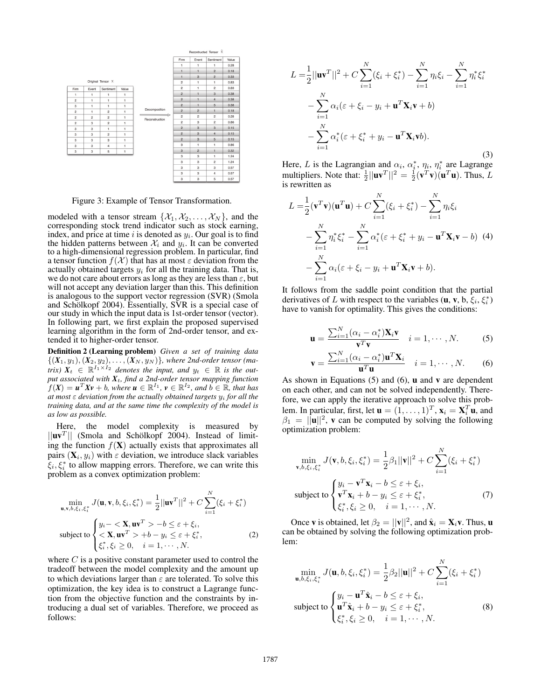

Figure 3: Example of Tensor Transformation.

modeled with a tensor stream  $\{\mathcal{X}_1, \mathcal{X}_2, \dots, \mathcal{X}_N\}$ , and the corresponding stock trend indicator such as stock earning, index, and price at time i is denoted as  $y_i$ . Our goal is to find the hidden patterns between  $\mathcal{X}_i$  and  $y_i$ . It can be converted to a high-dimensional regression problem. In particular, find a tensor function  $f(\mathcal{X})$  that has at most  $\varepsilon$  deviation from the actually obtained targets  $y_i$  for all the training data. That is, we do not care about errors as long as they are less than  $\varepsilon$ , but will not accept any deviation larger than this. This definition is analogous to the support vector regression (SVR) (Smola and Schölkopf 2004). Essentially, SVR is a special case of our study in which the input data is 1st-order tensor (vector). In following part, we first explain the proposed supervised learning algorithm in the form of 2nd-order tensor, and extended it to higher-order tensor.

Definition 2 (Learning problem) *Given a set of training data*  $\{(X_1, y_1), (X_2, y_2), \ldots, (X_N, y_N)\}$ , where 2nd-order tensor (ma*trix)*  $X_t \in \mathbb{R}^{I_1 \times I_2}$  *denotes the input, and*  $y_t \in \mathbb{R}$  *is the output associated with X*t*, find a 2nd-order tensor mapping function*  $f(X) = u^T Xv + b$ *, where*  $u \in \mathbb{R}^{I_1}$ *,*  $v \in \mathbb{R}^{I_2}$ *, and*  $b \in \mathbb{R}$ *, that has at most* ε *deviation from the actually obtained targets* y<sup>i</sup> *for all the training data, and at the same time the complexity of the model is as low as possible.*

Here, the model complexity is measured by  $||\mathbf{u}\mathbf{v}^T||$  (Smola and Schölkopf 2004). Instead of limiting the function  $f(\mathbf{X})$  actually exists that approximates all pairs  $(X_i, y_i)$  with  $\varepsilon$  deviation, we introduce slack variables  $\xi_i, \xi_i^*$  to allow mapping errors. Therefore, we can write this problem as a convex optimization problem:

$$
\min_{\mathbf{u},\mathbf{v},b,\xi_i,\xi_i^*} J(\mathbf{u},\mathbf{v},b,\xi_i,\xi_i^*) = \frac{1}{2} ||\mathbf{u}\mathbf{v}^T||^2 + C \sum_{i=1}^N (\xi_i + \xi_i^*)
$$
\n
$$
\text{subject to } \begin{cases}\ny_i - \langle \mathbf{X}, \mathbf{u}\mathbf{v}^T \rangle - b \le \varepsilon + \xi_i, \\
\langle \mathbf{X}, \mathbf{u}\mathbf{v}^T \rangle + b - y_i \le \varepsilon + \xi_i^*, \\
\xi_i^*, \xi_i \ge 0, \quad i = 1, \cdots, N.\n\end{cases} \tag{2}
$$

where  $C$  is a positive constant parameter used to control the tradeoff between the model complexity and the amount up to which deviations larger than  $\varepsilon$  are tolerated. To solve this optimization, the key idea is to construct a Lagrange function from the objective function and the constraints by introducing a dual set of variables. Therefore, we proceed as follows:

$$
L = \frac{1}{2} ||\mathbf{u}\mathbf{v}^{T}||^{2} + C \sum_{i=1}^{N} (\xi_{i} + \xi_{i}^{*}) - \sum_{i=1}^{N} \eta_{i} \xi_{i} - \sum_{i=1}^{N} \eta_{i}^{*} \xi_{i}^{*} - \sum_{i=1}^{N} \alpha_{i} (\varepsilon + \xi_{i} - y_{i} + \mathbf{u}^{T} \mathbf{X}_{i} \mathbf{v} + b) - \sum_{i=1}^{N} \alpha_{i}^{*} (\varepsilon + \xi_{i}^{*} + y_{i} - \mathbf{u}^{T} \mathbf{X}_{i} \mathbf{v} b).
$$
\n(3)

Here, L is the Lagrangian and  $\alpha_i$ ,  $\alpha_i^*$ ,  $\eta_i$ ,  $\eta_i^*$  are Lagrange multipliers. Note that:  $\frac{1}{2}||\mathbf{u}\mathbf{v}^T||^2 = \frac{1}{2}(\mathbf{v}^T\mathbf{v})(\mathbf{u}^T\mathbf{u})$ . Thus, L is rewritten as

$$
L = \frac{1}{2} (\mathbf{v}^T \mathbf{v}) (\mathbf{u}^T \mathbf{u}) + C \sum_{i=1}^N (\xi_i + \xi_i^*) - \sum_{i=1}^N \eta_i \xi_i
$$
  
- 
$$
\sum_{i=1}^N \eta_i^* \xi_i^* - \sum_{i=1}^N \alpha_i^* (\varepsilon + \xi_i^* + y_i - \mathbf{u}^T \mathbf{X}_i \mathbf{v} - b) \tag{4}
$$
  
- 
$$
\sum_{i=1}^N \alpha_i (\varepsilon + \xi_i - y_i + \mathbf{u}^T \mathbf{X}_i \mathbf{v} + b).
$$

It follows from the saddle point condition that the partial derivatives of L with respect to the variables  $(\mathbf{u}, \mathbf{v}, \mathbf{b}, \xi_i, \xi_i^*)$ have to vanish for optimality. This gives the conditions:

$$
\mathbf{u} = \frac{\sum_{i=1}^{N} (\alpha_i - \alpha_i^*) \mathbf{X}_i \mathbf{v}}{\mathbf{v}^T \mathbf{v}} \quad i = 1, \cdots, N. \tag{5}
$$

$$
\mathbf{v} = \frac{\sum_{i=1}^{N} (\alpha_i - \alpha_i^*) \mathbf{u}^T \mathbf{X}_i}{\mathbf{u}^T \mathbf{u}} \quad i = 1, \cdots, N. \quad (6)
$$

As shown in Equations  $(5)$  and  $(6)$ , **u** and **v** are dependent on each other, and can not be solved independently. Therefore, we can apply the iterative approach to solve this problem. In particular, first, let  $\mathbf{u} = (1, \dots, 1)^T$ ,  $\mathbf{x}_i = \mathbf{X}_i^T \mathbf{u}$ , and  $\beta_1 = ||\mathbf{u}||^2$ , **v** can be computed by solving the following optimization problem:

$$
\min_{\mathbf{v},b,\xi_{i},\xi_{i}^{*}} J(\mathbf{v},b,\xi_{i},\xi_{i}^{*}) = \frac{1}{2}\beta_{1}||\mathbf{v}||^{2} + C \sum_{i=1}^{N}(\xi_{i} + \xi_{i}^{*})
$$
\nsubject to\n
$$
\begin{cases}\ny_{i} - \mathbf{v}^{T}\mathbf{x}_{i} - b \leq \varepsilon + \xi_{i}, \\
\mathbf{v}^{T}\mathbf{x}_{i} + b - y_{i} \leq \varepsilon + \xi_{i}^{*}, \\
\xi_{i}^{*}, \xi_{i} \geq 0, \quad i = 1, \cdots, N.\n\end{cases}
$$
\n(7)

Once **v** is obtained, let  $\beta_2 = ||\mathbf{v}||^2$ , and  $\hat{\mathbf{x}}_i = \mathbf{X}_i \mathbf{v}$ . Thus, **u** can be obtained by solving the following optimization problem:

$$
\min_{\mathbf{u},b,\xi_{i},\xi_{i}^{*}} J(\mathbf{u},b,\xi_{i},\xi_{i}^{*}) = \frac{1}{2}\beta_{2}||\mathbf{u}||^{2} + C \sum_{i=1}^{N}(\xi_{i} + \xi_{i}^{*})
$$
  
subject to 
$$
\begin{cases} y_{i} - \mathbf{u}^{T}\hat{\mathbf{x}}_{i} - b \leq \varepsilon + \xi_{i}, \\ \mathbf{u}^{T}\hat{\mathbf{x}}_{i} + b - y_{i} \leq \varepsilon + \xi_{i}^{*}, \\ \xi_{i}^{*}, \xi_{i} \geq 0, \quad i = 1, \cdots, N. \end{cases}
$$
 (8)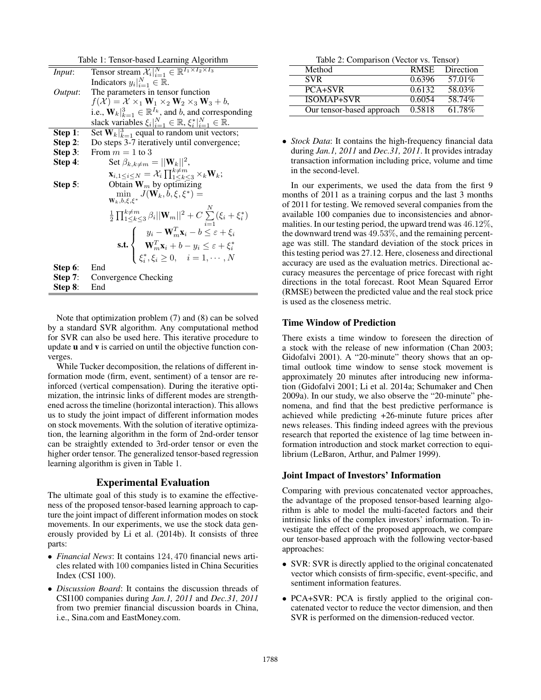| Table 1: Tensor-based Learning Algorithm |                                                                                                                                                                                                                                                                                                                                                 |  |  |
|------------------------------------------|-------------------------------------------------------------------------------------------------------------------------------------------------------------------------------------------------------------------------------------------------------------------------------------------------------------------------------------------------|--|--|
| Input:                                   | Tensor stream $\mathcal{X}_i _{i=1}^N \in \mathbb{R}^{I_1 \times I_2 \times I_3}$                                                                                                                                                                                                                                                               |  |  |
|                                          | Indicators $y_i _{i=1}^N \in \mathbb{R}$ .                                                                                                                                                                                                                                                                                                      |  |  |
| Output:                                  | The parameters in tensor function                                                                                                                                                                                                                                                                                                               |  |  |
|                                          | $f(\mathcal{X}) = \mathcal{X} \times_1 \mathbf{W}_1 \times_2 \mathbf{W}_2 \times_3 \mathbf{W}_3 + b,$                                                                                                                                                                                                                                           |  |  |
|                                          | i.e., $\mathbf{W}_{k}  _{k=1}^{3} \in \mathbb{R}^{I_{k}}$ , and b, and corresponding                                                                                                                                                                                                                                                            |  |  |
|                                          | slack variables $\xi_i _{i=1}^N \in \mathbb{R}, \xi_i^* _{i=1}^N \in \mathbb{R}.$                                                                                                                                                                                                                                                               |  |  |
| Step 1:                                  | Set $W_k _{k=1}^3$ equal to random unit vectors;                                                                                                                                                                                                                                                                                                |  |  |
| Step 2:                                  | Do steps 3-7 iteratively until convergence;                                                                                                                                                                                                                                                                                                     |  |  |
| Step 3:                                  | From $m = 1$ to 3                                                                                                                                                                                                                                                                                                                               |  |  |
| Step 4:                                  | Set $\beta_{k,k \neq m} =   \mathbf{W}_k  ^2$ ,                                                                                                                                                                                                                                                                                                 |  |  |
|                                          | $\mathbf{x}_{i,1 \leq i \leq N} = \mathcal{X}_i \prod_{1 \leq k \leq 3}^{k \neq m} \times_k \mathbf{W}_k;$                                                                                                                                                                                                                                      |  |  |
| Step 5:                                  | Obtain $W_m$ by optimizing                                                                                                                                                                                                                                                                                                                      |  |  |
|                                          | $\min_{\mathbf{W}_k, b, \xi, \xi^*} J(\mathbf{W}_k, b, \xi, \xi^*) =$                                                                                                                                                                                                                                                                           |  |  |
|                                          | $\frac{1}{2} \prod_{1 \leq k \leq 3}^{k \neq m} \beta_i   \mathbf{W}_m  ^2 + C \sum_{i=1}^{N} (\xi_i + \xi_i^*)$<br>$\text{s.t.} \begin{cases} y_i - \mathbf{W}_m^T \mathbf{x}_i - b \leq \varepsilon + \xi_i \\ \mathbf{W}_m^T \mathbf{x}_i + b - y_i \leq \varepsilon + \xi_i^* \\ \xi_i^*, \xi_i \geq 0, \quad i = 1, \cdots, N \end{cases}$ |  |  |
|                                          |                                                                                                                                                                                                                                                                                                                                                 |  |  |
|                                          |                                                                                                                                                                                                                                                                                                                                                 |  |  |
|                                          |                                                                                                                                                                                                                                                                                                                                                 |  |  |
| Step 6:                                  | End                                                                                                                                                                                                                                                                                                                                             |  |  |
| Step $7:$                                | Convergence Checking                                                                                                                                                                                                                                                                                                                            |  |  |
| Step 8:                                  | End                                                                                                                                                                                                                                                                                                                                             |  |  |

Note that optimization problem (7) and (8) can be solved by a standard SVR algorithm. Any computational method for SVR can also be used here. This iterative procedure to update u and v is carried on until the objective function converges.

While Tucker decomposition, the relations of different information mode (firm, event, sentiment) of a tensor are reinforced (vertical compensation). During the iterative optimization, the intrinsic links of different modes are strengthened across the timeline (horizontal interaction). This allows us to study the joint impact of different information modes on stock movements. With the solution of iterative optimization, the learning algorithm in the form of 2nd-order tensor can be straightly extended to 3rd-order tensor or even the higher order tensor. The generalized tensor-based regression learning algorithm is given in Table 1.

### Experimental Evaluation

The ultimate goal of this study is to examine the effectiveness of the proposed tensor-based learning approach to capture the joint impact of different information modes on stock movements. In our experiments, we use the stock data generously provided by Li et al. (2014b). It consists of three parts:

- *Financial News*: It contains 124, 470 financial news articles related with 100 companies listed in China Securities Index (CSI 100).
- *Discussion Board*: It contains the discussion threads of CSI100 companies during *Jan.1, 2011* and *Dec.31, 2011* from two premier financial discussion boards in China, i.e., Sina.com and EastMoney.com.

| Table 2: Comparison (Vector vs. Tensor) |        |                |  |
|-----------------------------------------|--------|----------------|--|
| Method                                  |        | RMSE Direction |  |
| <b>SVR</b>                              | 0.6396 | $57.01\%$      |  |
| PCA+SVR                                 | 0.6132 | 58.03%         |  |
| <b>ISOMAP+SVR</b>                       | 0.6054 | 58.74%         |  |
| Our tensor-based approach               | 0.5818 | 61.78%         |  |

• *Stock Data*: It contains the high-frequency financial data during *Jan.1, 2011* and *Dec.31, 2011*. It provides intraday transaction information including price, volume and time in the second-level.

In our experiments, we used the data from the first 9 months of 2011 as a training corpus and the last 3 months of 2011 for testing. We removed several companies from the available 100 companies due to inconsistencies and abnormalities. In our testing period, the upward trend was 46.12%, the downward trend was 49.53%, and the remaining percentage was still. The standard deviation of the stock prices in this testing period was 27.12. Here, closeness and directional accuracy are used as the evaluation metrics. Directional accuracy measures the percentage of price forecast with right directions in the total forecast. Root Mean Squared Error (RMSE) between the predicted value and the real stock price is used as the closeness metric.

### Time Window of Prediction

There exists a time window to foreseen the direction of a stock with the release of new information (Chan 2003; Gidofalvi 2001). A "20-minute" theory shows that an optimal outlook time window to sense stock movement is approximately 20 minutes after introducing new information (Gidofalvi 2001; Li et al. 2014a; Schumaker and Chen 2009a). In our study, we also observe the "20-minute" phenomena, and find that the best predictive performance is achieved while predicting +26-minute future prices after news releases. This finding indeed agrees with the previous research that reported the existence of lag time between information introduction and stock market correction to equilibrium (LeBaron, Arthur, and Palmer 1999).

#### Joint Impact of Investors' Information

Comparing with previous concatenated vector approaches, the advantage of the proposed tensor-based learning algorithm is able to model the multi-faceted factors and their intrinsic links of the complex investors' information. To investigate the effect of the proposed approach, we compare our tensor-based approach with the following vector-based approaches:

- SVR: SVR is directly applied to the original concatenated vector which consists of firm-specific, event-specific, and sentiment information features.
- PCA+SVR: PCA is firstly applied to the original concatenated vector to reduce the vector dimension, and then SVR is performed on the dimension-reduced vector.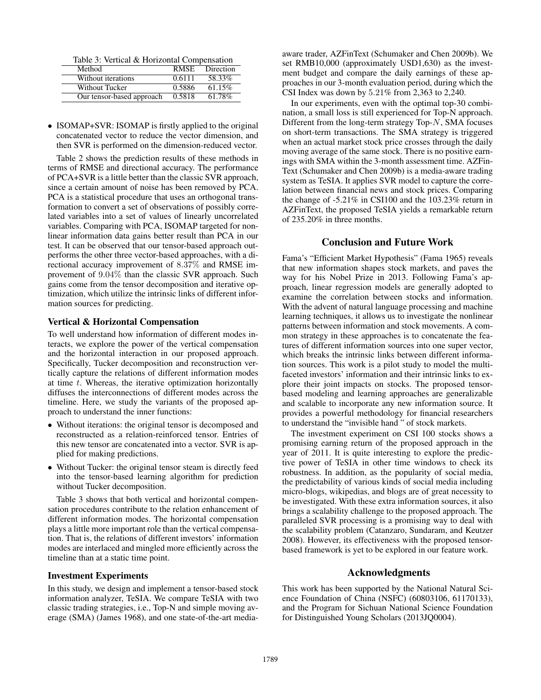Table 3: Vertical & Horizontal Compensation

| Method                    | <b>RMSE</b> | Direction |
|---------------------------|-------------|-----------|
| Without iterations        | 0.6111      | 58.33%    |
| Without Tucker            | 0.5886      | 61.15%    |
| Our tensor-based approach | 0.5818      | 61.78%    |

• ISOMAP+SVR: ISOMAP is firstly applied to the original concatenated vector to reduce the vector dimension, and then SVR is performed on the dimension-reduced vector.

Table 2 shows the prediction results of these methods in terms of RMSE and directional accuracy. The performance of PCA+SVR is a little better than the classic SVR approach, since a certain amount of noise has been removed by PCA. PCA is a statistical procedure that uses an orthogonal transformation to convert a set of observations of possibly correlated variables into a set of values of linearly uncorrelated variables. Comparing with PCA, ISOMAP targeted for nonlinear information data gains better result than PCA in our test. It can be observed that our tensor-based approach outperforms the other three vector-based approaches, with a directional accuracy improvement of 8.37% and RMSE improvement of 9.04% than the classic SVR approach. Such gains come from the tensor decomposition and iterative optimization, which utilize the intrinsic links of different information sources for predicting.

#### Vertical & Horizontal Compensation

To well understand how information of different modes interacts, we explore the power of the vertical compensation and the horizontal interaction in our proposed approach. Specifically, Tucker decomposition and reconstruction vertically capture the relations of different information modes at time t. Whereas, the iterative optimization horizontally diffuses the interconnections of different modes across the timeline. Here, we study the variants of the proposed approach to understand the inner functions:

- Without iterations: the original tensor is decomposed and reconstructed as a relation-reinforced tensor. Entries of this new tensor are concatenated into a vector. SVR is applied for making predictions.
- Without Tucker: the original tensor steam is directly feed into the tensor-based learning algorithm for prediction without Tucker decomposition.

Table 3 shows that both vertical and horizontal compensation procedures contribute to the relation enhancement of different information modes. The horizontal compensation plays a little more important role than the vertical compensation. That is, the relations of different investors' information modes are interlaced and mingled more efficiently across the timeline than at a static time point.

#### Investment Experiments

In this study, we design and implement a tensor-based stock information analyzer, TeSIA. We compare TeSIA with two classic trading strategies, i.e., Top-N and simple moving average (SMA) (James 1968), and one state-of-the-art media-

aware trader, AZFinText (Schumaker and Chen 2009b). We set RMB10,000 (approximately USD1,630) as the investment budget and compare the daily earnings of these approaches in our 3-month evaluation period, during which the CSI Index was down by 5.21% from 2,363 to 2,240.

In our experiments, even with the optimal top-30 combination, a small loss is still experienced for Top-N approach. Different from the long-term strategy Top- $N$ , SMA focuses on short-term transactions. The SMA strategy is triggered when an actual market stock price crosses through the daily moving average of the same stock. There is no positive earnings with SMA within the 3-month assessment time. AZFin-Text (Schumaker and Chen 2009b) is a media-aware trading system as TeSIA. It applies SVR model to capture the correlation between financial news and stock prices. Comparing the change of -5.21% in CSI100 and the 103.23% return in AZFinText, the proposed TeSIA yields a remarkable return of 235.20% in three months.

### Conclusion and Future Work

Fama's "Efficient Market Hypothesis" (Fama 1965) reveals that new information shapes stock markets, and paves the way for his Nobel Prize in 2013. Following Fama's approach, linear regression models are generally adopted to examine the correlation between stocks and information. With the advent of natural language processing and machine learning techniques, it allows us to investigate the nonlinear patterns between information and stock movements. A common strategy in these approaches is to concatenate the features of different information sources into one super vector, which breaks the intrinsic links between different information sources. This work is a pilot study to model the multifaceted investors' information and their intrinsic links to explore their joint impacts on stocks. The proposed tensorbased modeling and learning approaches are generalizable and scalable to incorporate any new information source. It provides a powerful methodology for financial researchers to understand the "invisible hand " of stock markets.

The investment experiment on CSI 100 stocks shows a promising earning return of the proposed approach in the year of 2011. It is quite interesting to explore the predictive power of TeSIA in other time windows to check its robustness. In addition, as the popularity of social media, the predictability of various kinds of social media including micro-blogs, wikipedias, and blogs are of great necessity to be investigated. With these extra information sources, it also brings a scalability challenge to the proposed approach. The paralleled SVR processing is a promising way to deal with the scalability problem (Catanzaro, Sundaram, and Keutzer 2008). However, its effectiveness with the proposed tensorbased framework is yet to be explored in our feature work.

#### Acknowledgments

This work has been supported by the National Natural Science Foundation of China (NSFC) (60803106, 61170133), and the Program for Sichuan National Science Foundation for Distinguished Young Scholars (2013JQ0004).